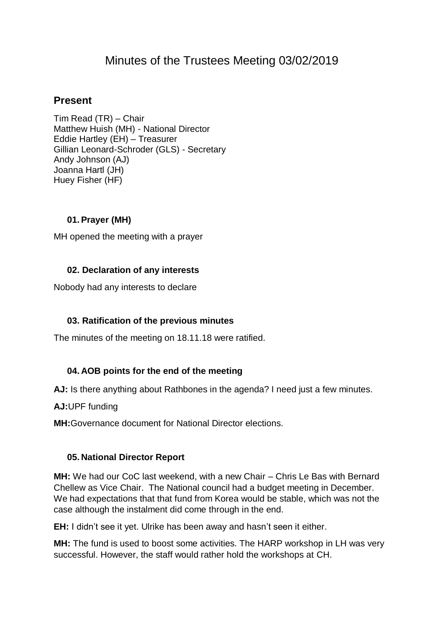# Minutes of the Trustees Meeting 03/02/2019

## **Present**

Tim Read (TR) – Chair Matthew Huish (MH) - National Director Eddie Hartley (EH) – Treasurer Gillian Leonard-Schroder (GLS) - Secretary Andy Johnson (AJ) Joanna Hartl (JH) Huey Fisher (HF)

### **01.Prayer (MH)**

MH opened the meeting with a prayer

#### **02. Declaration of any interests**

Nobody had any interests to declare

### **03. Ratification of the previous minutes**

The minutes of the meeting on 18.11.18 were ratified.

### **04. AOB points for the end of the meeting**

**AJ:** Is there anything about Rathbones in the agenda? I need just a few minutes.

**AJ:**UPF funding

**MH:**Governance document for National Director elections.

### **05. National Director Report**

**MH:** We had our CoC last weekend, with a new Chair – Chris Le Bas with Bernard Chellew as Vice Chair. The National council had a budget meeting in December. We had expectations that that fund from Korea would be stable, which was not the case although the instalment did come through in the end.

**EH:** I didn't see it yet. Ulrike has been away and hasn't seen it either.

**MH:** The fund is used to boost some activities. The HARP workshop in LH was very successful. However, the staff would rather hold the workshops at CH.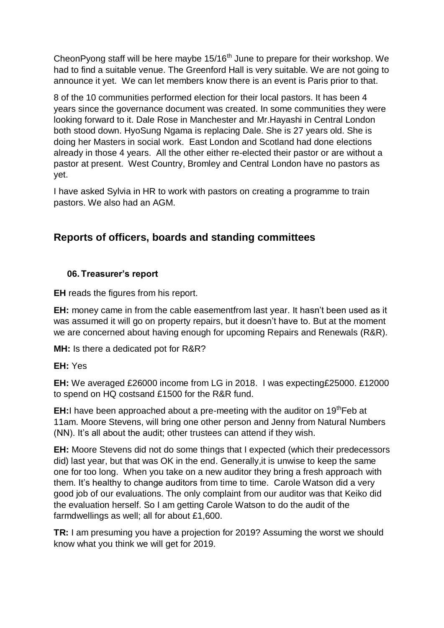CheonPyong staff will be here maybe 15/16<sup>th</sup> June to prepare for their workshop. We had to find a suitable venue. The Greenford Hall is very suitable. We are not going to announce it yet. We can let members know there is an event is Paris prior to that.

8 of the 10 communities performed election for their local pastors. It has been 4 years since the governance document was created. In some communities they were looking forward to it. Dale Rose in Manchester and Mr.Hayashi in Central London both stood down. HyoSung Ngama is replacing Dale. She is 27 years old. She is doing her Masters in social work. East London and Scotland had done elections already in those 4 years. All the other either re-elected their pastor or are without a pastor at present. West Country, Bromley and Central London have no pastors as yet.

I have asked Sylvia in HR to work with pastors on creating a programme to train pastors. We also had an AGM.

## **Reports of officers, boards and standing committees**

### **06. Treasurer's report**

**EH** reads the figures from his report.

**EH:** money came in from the cable easementfrom last year. It hasn't been used as it was assumed it will go on property repairs, but it doesn't have to. But at the moment we are concerned about having enough for upcoming Repairs and Renewals (R&R).

**MH:** Is there a dedicated pot for R&R?

**EH:** Yes

**EH:** We averaged £26000 income from LG in 2018. I was expecting£25000. £12000 to spend on HQ costsand £1500 for the R&R fund.

**EH:** have been approached about a pre-meeting with the auditor on 19<sup>th</sup>Feb at 11am. Moore Stevens, will bring one other person and Jenny from Natural Numbers (NN). It's all about the audit; other trustees can attend if they wish.

**EH:** Moore Stevens did not do some things that I expected (which their predecessors did) last year, but that was OK in the end. Generally,it is unwise to keep the same one for too long. When you take on a new auditor they bring a fresh approach with them. It's healthy to change auditors from time to time. Carole Watson did a very good job of our evaluations. The only complaint from our auditor was that Keiko did the evaluation herself. So I am getting Carole Watson to do the audit of the farmdwellings as well; all for about £1,600.

**TR:** I am presuming you have a projection for 2019? Assuming the worst we should know what you think we will get for 2019.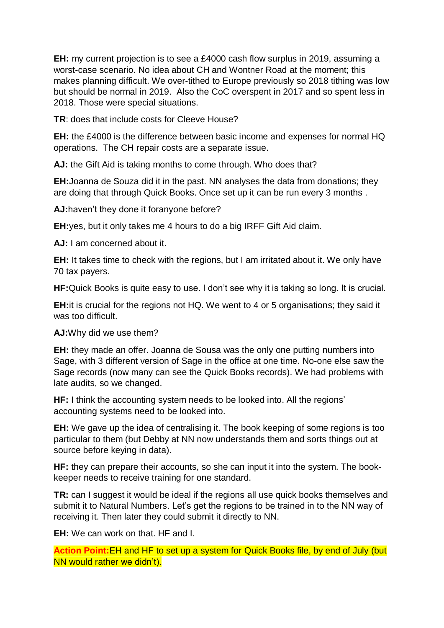**EH:** my current projection is to see a £4000 cash flow surplus in 2019, assuming a worst-case scenario. No idea about CH and Wontner Road at the moment; this makes planning difficult. We over-tithed to Europe previously so 2018 tithing was low but should be normal in 2019. Also the CoC overspent in 2017 and so spent less in 2018. Those were special situations.

**TR**: does that include costs for Cleeve House?

**EH:** the £4000 is the difference between basic income and expenses for normal HQ operations. The CH repair costs are a separate issue.

**AJ:** the Gift Aid is taking months to come through. Who does that?

**EH:**Joanna de Souza did it in the past. NN analyses the data from donations; they are doing that through Quick Books. Once set up it can be run every 3 months .

**AJ:**haven't they done it foranyone before?

**EH:**yes, but it only takes me 4 hours to do a big IRFF Gift Aid claim.

**AJ:** I am concerned about it.

**EH:** It takes time to check with the regions, but I am irritated about it. We only have 70 tax payers.

**HF:**Quick Books is quite easy to use. I don't see why it is taking so long. It is crucial.

**EH:**it is crucial for the regions not HQ. We went to 4 or 5 organisations; they said it was too difficult.

**AJ:**Why did we use them?

**EH:** they made an offer. Joanna de Sousa was the only one putting numbers into Sage, with 3 different version of Sage in the office at one time. No-one else saw the Sage records (now many can see the Quick Books records). We had problems with late audits, so we changed.

**HF:** I think the accounting system needs to be looked into. All the regions' accounting systems need to be looked into.

**EH:** We gave up the idea of centralising it. The book keeping of some regions is too particular to them (but Debby at NN now understands them and sorts things out at source before keying in data).

**HF:** they can prepare their accounts, so she can input it into the system. The bookkeeper needs to receive training for one standard.

**TR:** can I suggest it would be ideal if the regions all use quick books themselves and submit it to Natural Numbers. Let's get the regions to be trained in to the NN way of receiving it. Then later they could submit it directly to NN.

**EH:** We can work on that. HF and I.

**Action Point:**EH and HF to set up a system for Quick Books file, by end of July (but NN would rather we didn't).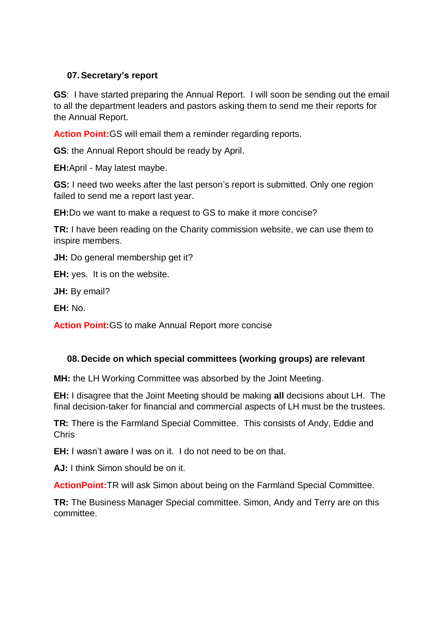#### **07.Secretary's report**

**GS**: I have started preparing the Annual Report. I will soon be sending out the email to all the department leaders and pastors asking them to send me their reports for the Annual Report.

**Action Point:**GS will email them a reminder regarding reports.

**GS**: the Annual Report should be ready by April.

**EH:**April - May latest maybe.

**GS:** I need two weeks after the last person's report is submitted. Only one region failed to send me a report last year.

**EH:**Do we want to make a request to GS to make it more concise?

**TR:** I have been reading on the Charity commission website, we can use them to inspire members.

**JH:** Do general membership get it?

**EH:** yes. It is on the website.

**JH:** By email?

**EH:** No.

**Action Point:**GS to make Annual Report more concise

#### **08. Decide on which special committees (working groups) are relevant**

**MH:** the LH Working Committee was absorbed by the Joint Meeting.

**EH:** I disagree that the Joint Meeting should be making **all** decisions about LH. The final decision-taker for financial and commercial aspects of LH must be the trustees.

**TR:** There is the Farmland Special Committee. This consists of Andy, Eddie and Chris

**EH:** I wasn't aware I was on it. I do not need to be on that.

**AJ:** I think Simon should be on it.

**ActionPoint:**TR will ask Simon about being on the Farmland Special Committee.

**TR:** The Business Manager Special committee. Simon, Andy and Terry are on this committee.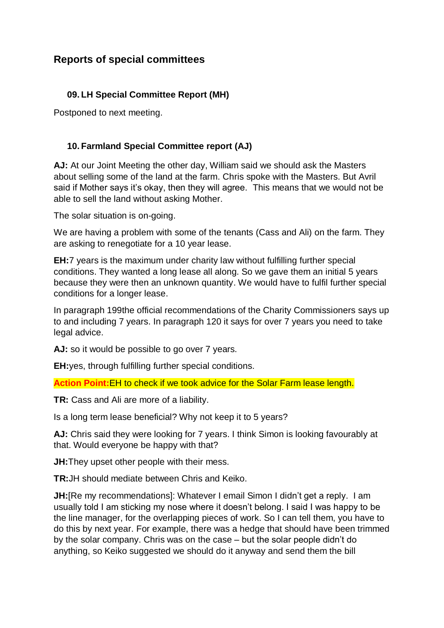## **Reports of special committees**

### **09. LH Special Committee Report (MH)**

Postponed to next meeting.

### **10. Farmland Special Committee report (AJ)**

**AJ:** At our Joint Meeting the other day, William said we should ask the Masters about selling some of the land at the farm. Chris spoke with the Masters. But Avril said if Mother says it's okay, then they will agree. This means that we would not be able to sell the land without asking Mother.

The solar situation is on-going.

We are having a problem with some of the tenants (Cass and Ali) on the farm. They are asking to renegotiate for a 10 year lease.

**EH:**7 years is the maximum under charity law without fulfilling further special conditions. They wanted a long lease all along. So we gave them an initial 5 years because they were then an unknown quantity. We would have to fulfil further special conditions for a longer lease.

In paragraph 199the official recommendations of the Charity Commissioners says up to and including 7 years. In paragraph 120 it says for over 7 years you need to take legal advice.

AJ: so it would be possible to go over 7 years.

**EH:**yes, through fulfilling further special conditions.

**Action Point:**EH to check if we took advice for the Solar Farm lease length.

**TR:** Cass and Ali are more of a liability.

Is a long term lease beneficial? Why not keep it to 5 years?

**AJ:** Chris said they were looking for 7 years. I think Simon is looking favourably at that. Would everyone be happy with that?

**JH:**They upset other people with their mess.

**TR:**JH should mediate between Chris and Keiko.

**JH:** [Re my recommendations]: Whatever I email Simon I didn't get a reply. I am usually told I am sticking my nose where it doesn't belong. I said I was happy to be the line manager, for the overlapping pieces of work. So I can tell them, you have to do this by next year. For example, there was a hedge that should have been trimmed by the solar company. Chris was on the case – but the solar people didn't do anything, so Keiko suggested we should do it anyway and send them the bill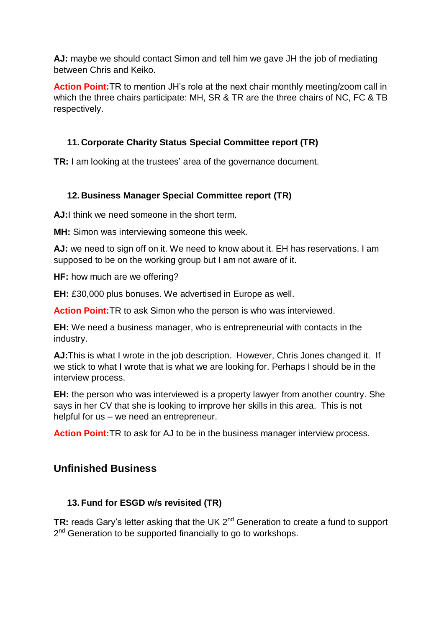**AJ:** maybe we should contact Simon and tell him we gave JH the job of mediating between Chris and Keiko.

**Action Point:**TR to mention JH's role at the next chair monthly meeting/zoom call in which the three chairs participate: MH, SR & TR are the three chairs of NC, FC & TB respectively.

### **11. Corporate Charity Status Special Committee report (TR)**

**TR:** I am looking at the trustees' area of the governance document.

### **12. Business Manager Special Committee report (TR)**

**AJ:**I think we need someone in the short term.

**MH:** Simon was interviewing someone this week.

**AJ:** we need to sign off on it. We need to know about it. EH has reservations. I am supposed to be on the working group but I am not aware of it.

**HF:** how much are we offering?

**EH:** £30,000 plus bonuses. We advertised in Europe as well.

**Action Point:**TR to ask Simon who the person is who was interviewed.

**EH:** We need a business manager, who is entrepreneurial with contacts in the industry.

**AJ:**This is what I wrote in the job description. However, Chris Jones changed it. If we stick to what I wrote that is what we are looking for. Perhaps I should be in the interview process.

**EH:** the person who was interviewed is a property lawyer from another country. She says in her CV that she is looking to improve her skills in this area. This is not helpful for us – we need an entrepreneur.

**Action Point:**TR to ask for AJ to be in the business manager interview process.

### **Unfinished Business**

### **13. Fund for ESGD w/s revisited (TR)**

**TR:** reads Gary's letter asking that the UK 2<sup>nd</sup> Generation to create a fund to support 2<sup>nd</sup> Generation to be supported financially to go to workshops.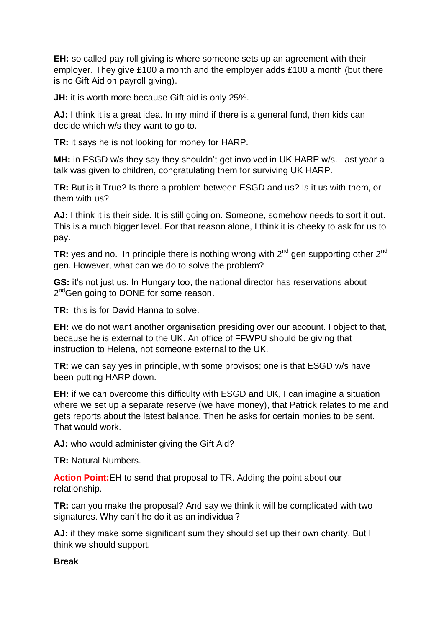**EH:** so called pay roll giving is where someone sets up an agreement with their employer. They give £100 a month and the employer adds £100 a month (but there is no Gift Aid on payroll giving).

**JH:** it is worth more because Gift aid is only 25%.

**AJ:** I think it is a great idea. In my mind if there is a general fund, then kids can decide which w/s they want to go to.

**TR:** it says he is not looking for money for HARP.

**MH:** in ESGD w/s they say they shouldn't get involved in UK HARP w/s. Last year a talk was given to children, congratulating them for surviving UK HARP.

**TR:** But is it True? Is there a problem between ESGD and us? Is it us with them, or them with us?

AJ: I think it is their side. It is still going on. Someone, somehow needs to sort it out. This is a much bigger level. For that reason alone, I think it is cheeky to ask for us to pay.

**TR:** yes and no. In principle there is nothing wrong with 2<sup>nd</sup> gen supporting other 2<sup>nd</sup> gen. However, what can we do to solve the problem?

**GS:** it's not just us. In Hungary too, the national director has reservations about 2<sup>nd</sup>Gen going to DONE for some reason.

**TR:** this is for David Hanna to solve.

**EH:** we do not want another organisation presiding over our account. I object to that, because he is external to the UK. An office of FFWPU should be giving that instruction to Helena, not someone external to the UK.

**TR:** we can say yes in principle, with some provisos; one is that ESGD w/s have been putting HARP down.

**EH:** if we can overcome this difficulty with ESGD and UK, I can imagine a situation where we set up a separate reserve (we have money), that Patrick relates to me and gets reports about the latest balance. Then he asks for certain monies to be sent. That would work.

**AJ:** who would administer giving the Gift Aid?

**TR:** Natural Numbers.

**Action Point:**EH to send that proposal to TR. Adding the point about our relationship.

**TR:** can you make the proposal? And say we think it will be complicated with two signatures. Why can't he do it as an individual?

**AJ:** if they make some significant sum they should set up their own charity. But I think we should support.

### **Break**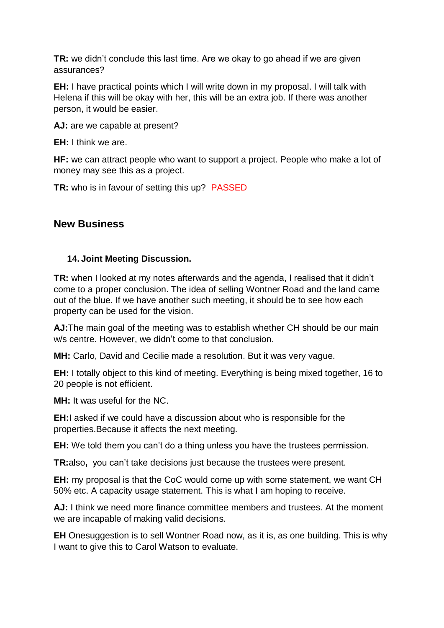**TR:** we didn't conclude this last time. Are we okay to go ahead if we are given assurances?

**EH:** I have practical points which I will write down in my proposal. I will talk with Helena if this will be okay with her, this will be an extra job. If there was another person, it would be easier.

**AJ:** are we capable at present?

**EH:** I think we are.

**HF:** we can attract people who want to support a project. People who make a lot of money may see this as a project.

**TR:** who is in favour of setting this up? PASSED

### **New Business**

#### **14. Joint Meeting Discussion.**

**TR:** when I looked at my notes afterwards and the agenda, I realised that it didn't come to a proper conclusion. The idea of selling Wontner Road and the land came out of the blue. If we have another such meeting, it should be to see how each property can be used for the vision.

**AJ:**The main goal of the meeting was to establish whether CH should be our main w/s centre. However, we didn't come to that conclusion.

**MH:** Carlo, David and Cecilie made a resolution. But it was very vague.

**EH:** I totally object to this kind of meeting. Everything is being mixed together, 16 to 20 people is not efficient.

**MH:** It was useful for the NC.

**EH:**I asked if we could have a discussion about who is responsible for the properties.Because it affects the next meeting.

**EH:** We told them you can't do a thing unless you have the trustees permission.

**TR:**also**,** you can't take decisions just because the trustees were present.

**EH:** my proposal is that the CoC would come up with some statement, we want CH 50% etc. A capacity usage statement. This is what I am hoping to receive.

**AJ:** I think we need more finance committee members and trustees. At the moment we are incapable of making valid decisions.

**EH** Onesuggestion is to sell Wontner Road now, as it is, as one building. This is why I want to give this to Carol Watson to evaluate.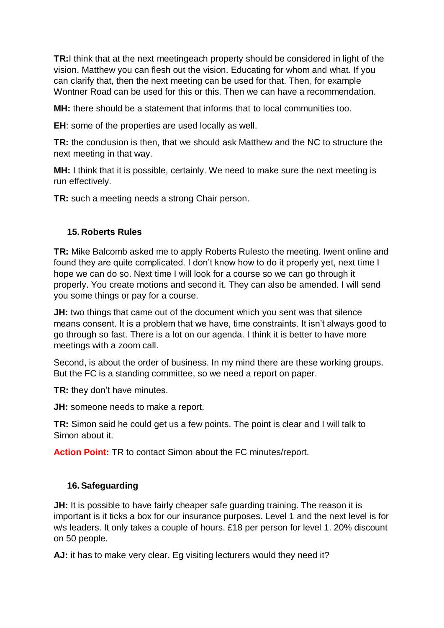**TR:**I think that at the next meetingeach property should be considered in light of the vision. Matthew you can flesh out the vision. Educating for whom and what. If you can clarify that, then the next meeting can be used for that. Then, for example Wontner Road can be used for this or this. Then we can have a recommendation.

**MH:** there should be a statement that informs that to local communities too.

**EH**: some of the properties are used locally as well.

**TR:** the conclusion is then, that we should ask Matthew and the NC to structure the next meeting in that way.

**MH:** I think that it is possible, certainly. We need to make sure the next meeting is run effectively.

**TR:** such a meeting needs a strong Chair person.

### **15. Roberts Rules**

**TR:** Mike Balcomb asked me to apply Roberts Rulesto the meeting. Iwent online and found they are quite complicated. I don't know how to do it properly yet, next time I hope we can do so. Next time I will look for a course so we can go through it properly. You create motions and second it. They can also be amended. I will send you some things or pay for a course.

**JH:** two things that came out of the document which you sent was that silence means consent. It is a problem that we have, time constraints. It isn't always good to go through so fast. There is a lot on our agenda. I think it is better to have more meetings with a zoom call.

Second, is about the order of business. In my mind there are these working groups. But the FC is a standing committee, so we need a report on paper.

**TR:** they don't have minutes.

**JH:** someone needs to make a report.

**TR:** Simon said he could get us a few points. The point is clear and I will talk to Simon about it.

**Action Point:** TR to contact Simon about the FC minutes/report.

### **16.Safeguarding**

**JH:** It is possible to have fairly cheaper safe guarding training. The reason it is important is it ticks a box for our insurance purposes. Level 1 and the next level is for w/s leaders. It only takes a couple of hours. £18 per person for level 1. 20% discount on 50 people.

AJ: it has to make very clear. Eq visiting lecturers would they need it?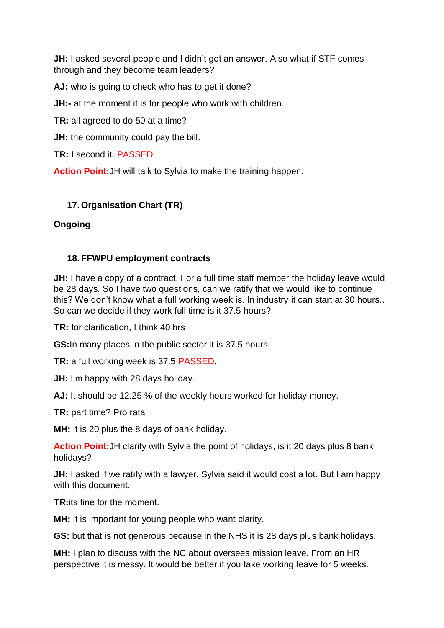**JH:** I asked several people and I didn't get an answer. Also what if STF comes through and they become team leaders?

AJ: who is going to check who has to get it done?

**JH:-** at the moment it is for people who work with children.

**TR:** all agreed to do 50 at a time?

**JH:** the community could pay the bill.

**TR:** I second it. PASSED

**Action Point:**JH will talk to Sylvia to make the training happen.

### **17. Organisation Chart (TR)**

#### **Ongoing**

#### **18. FFWPU employment contracts**

**JH:** I have a copy of a contract. For a full time staff member the holiday leave would be 28 days. So I have two questions, can we ratify that we would like to continue this? We don't know what a full working week is. In industry it can start at 30 hours.. So can we decide if they work full time is it 37.5 hours?

**TR:** for clarification, I think 40 hrs

**GS:**In many places in the public sector it is 37.5 hours.

**TR:** a full working week is 37.5 PASSED.

**JH:** I'm happy with 28 days holiday.

**AJ:** It should be 12.25 % of the weekly hours worked for holiday money.

**TR:** part time? Pro rata

**MH:** it is 20 plus the 8 days of bank holiday.

**Action Point:**JH clarify with Sylvia the point of holidays, is it 20 days plus 8 bank holidays?

**JH:** I asked if we ratify with a lawyer. Sylvia said it would cost a lot. But I am happy with this document.

**TR:**its fine for the moment.

**MH:** it is important for young people who want clarity.

**GS:** but that is not generous because in the NHS it is 28 days plus bank holidays.

**MH:** I plan to discuss with the NC about oversees mission leave. From an HR perspective it is messy. It would be better if you take working leave for 5 weeks.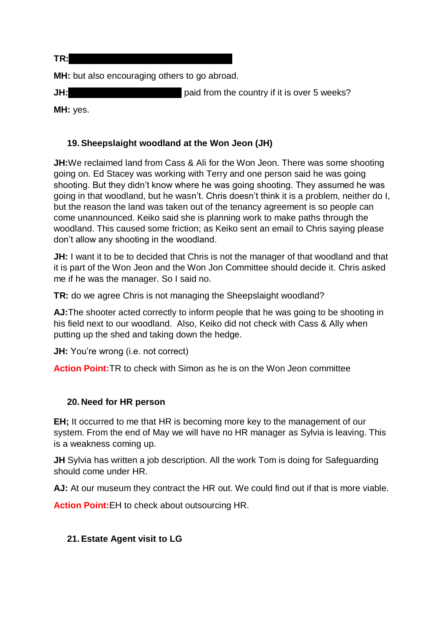**TR:**so we are limiting William's work abroad?

**MH:** but also encouraging others to go abroad.

**JH:** So William would have to get paid from the country if it is over 5 weeks?

**MH:** yes.

### **19.Sheepslaight woodland at the Won Jeon (JH)**

**JH:**We reclaimed land from Cass & Ali for the Won Jeon. There was some shooting going on. Ed Stacey was working with Terry and one person said he was going shooting. But they didn't know where he was going shooting. They assumed he was going in that woodland, but he wasn't. Chris doesn't think it is a problem, neither do I, but the reason the land was taken out of the tenancy agreement is so people can come unannounced. Keiko said she is planning work to make paths through the woodland. This caused some friction; as Keiko sent an email to Chris saying please don't allow any shooting in the woodland.

**JH:** I want it to be to decided that Chris is not the manager of that woodland and that it is part of the Won Jeon and the Won Jon Committee should decide it. Chris asked me if he was the manager. So I said no.

**TR:** do we agree Chris is not managing the Sheepslaight woodland?

**AJ:**The shooter acted correctly to inform people that he was going to be shooting in his field next to our woodland. Also, Keiko did not check with Cass & Ally when putting up the shed and taking down the hedge.

**JH:** You're wrong (i.e. not correct)

**Action Point:**TR to check with Simon as he is on the Won Jeon committee

### **20. Need for HR person**

**EH;** It occurred to me that HR is becoming more key to the management of our system. From the end of May we will have no HR manager as Sylvia is leaving. This is a weakness coming up.

**JH** Sylvia has written a job description. All the work Tom is doing for Safeguarding should come under HR.

AJ: At our museum they contract the HR out. We could find out if that is more viable.

**Action Point:**EH to check about outsourcing HR.

### **21.Estate Agent visit to LG**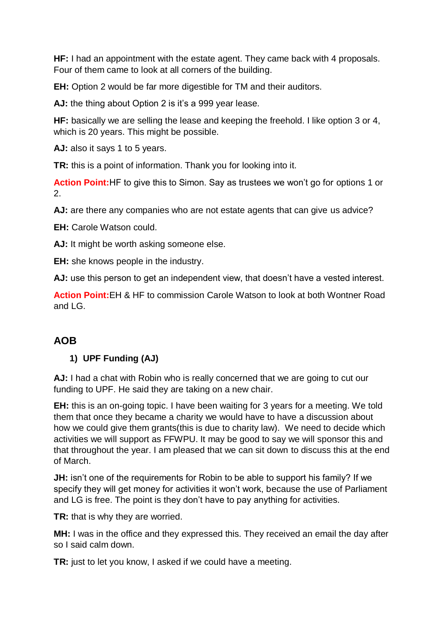**HF:** I had an appointment with the estate agent. They came back with 4 proposals. Four of them came to look at all corners of the building.

**EH:** Option 2 would be far more digestible for TM and their auditors.

**AJ:** the thing about Option 2 is it's a 999 year lease.

**HF:** basically we are selling the lease and keeping the freehold. I like option 3 or 4, which is 20 years. This might be possible.

**AJ:** also it says 1 to 5 years.

**TR:** this is a point of information. Thank you for looking into it.

**Action Point:**HF to give this to Simon. Say as trustees we won't go for options 1 or 2.

**AJ:** are there any companies who are not estate agents that can give us advice?

**EH:** Carole Watson could.

**AJ:** It might be worth asking someone else.

**EH:** she knows people in the industry.

**AJ:** use this person to get an independent view, that doesn't have a vested interest.

**Action Point:**EH & HF to commission Carole Watson to look at both Wontner Road and  $LG$ .

## **AOB**

### **1) UPF Funding (AJ)**

**AJ:** I had a chat with Robin who is really concerned that we are going to cut our funding to UPF. He said they are taking on a new chair.

**EH:** this is an on-going topic. I have been waiting for 3 years for a meeting. We told them that once they became a charity we would have to have a discussion about how we could give them grants(this is due to charity law). We need to decide which activities we will support as FFWPU. It may be good to say we will sponsor this and that throughout the year. I am pleased that we can sit down to discuss this at the end of March.

**JH:** isn't one of the requirements for Robin to be able to support his family? If we specify they will get money for activities it won't work, because the use of Parliament and LG is free. The point is they don't have to pay anything for activities.

**TR:** that is why they are worried.

**MH:** I was in the office and they expressed this. They received an email the day after so I said calm down.

**TR:** just to let you know, I asked if we could have a meeting.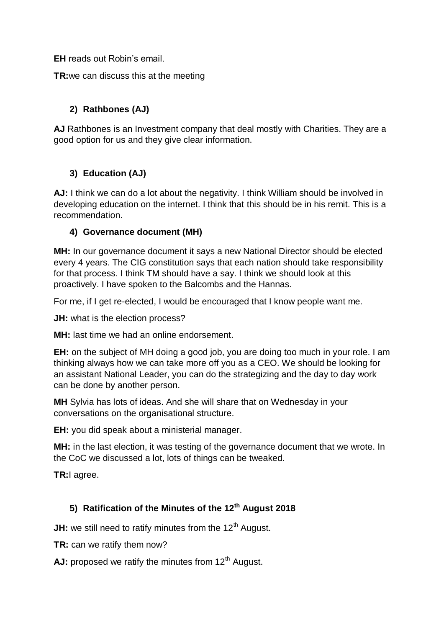**EH** reads out Robin's email.

**TR:**we can discuss this at the meeting

## **2) Rathbones (AJ)**

**AJ** Rathbones is an Investment company that deal mostly with Charities. They are a good option for us and they give clear information.

### **3) Education (AJ)**

**AJ:** I think we can do a lot about the negativity. I think William should be involved in developing education on the internet. I think that this should be in his remit. This is a recommendation.

### **4) Governance document (MH)**

**MH:** In our governance document it says a new National Director should be elected every 4 years. The CIG constitution says that each nation should take responsibility for that process. I think TM should have a say. I think we should look at this proactively. I have spoken to the Balcombs and the Hannas.

For me, if I get re-elected, I would be encouraged that I know people want me.

**JH:** what is the election process?

**MH:** last time we had an online endorsement.

**EH:** on the subject of MH doing a good job, you are doing too much in your role. I am thinking always how we can take more off you as a CEO. We should be looking for an assistant National Leader, you can do the strategizing and the day to day work can be done by another person.

**MH** Sylvia has lots of ideas. And she will share that on Wednesday in your conversations on the organisational structure.

**EH:** you did speak about a ministerial manager.

**MH:** in the last election, it was testing of the governance document that we wrote. In the CoC we discussed a lot, lots of things can be tweaked.

**TR:**I agree.

### **5) Ratification of the Minutes of the 12th August 2018**

**JH:** we still need to ratify minutes from the 12<sup>th</sup> August.

**TR:** can we ratify them now?

AJ: proposed we ratify the minutes from 12<sup>th</sup> August.